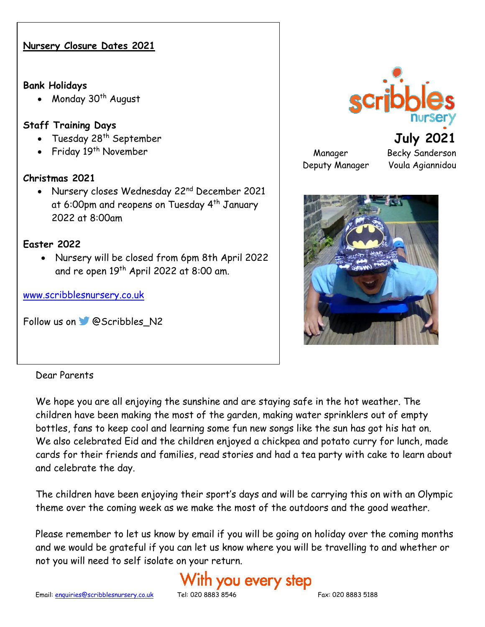#### **Nursery Closure Dates 2021**

#### **Bank Holidays**

• Monday 30<sup>th</sup> August

#### **Staff Training Days**

- Tuesday 28<sup>th</sup> September
- Friday 19<sup>th</sup> November

#### **Christmas 2021**

• Nursery closes Wednesday 22<sup>nd</sup> December 2021 at 6:00pm and reopens on Tuesday 4<sup>th</sup> January 2022 at 8:00am

#### **Easter 2022**

• Nursery will be closed from 6pm 8th April 2022 and re open 19<sup>th</sup> April 2022 at 8:00 am.

[www.scribblesnursery.co.uk](http://www.scribblesnursery.co.uk/)

Followus on **@Scribbles\_N2** 



**July 2021** Manager Becky Sanderson Deputy Manager Voula Agiannidou



#### Dear Parents

We hope you are all enjoying the sunshine and are staying safe in the hot weather. The children have been making the most of the garden, making water sprinklers out of empty bottles, fans to keep cool and learning some fun new songs like the sun has got his hat on. We also celebrated Eid and the children enjoyed a chickpea and potato curry for lunch, made cards for their friends and families, read stories and had a tea party with cake to learn about and celebrate the day.

The children have been enjoying their sport's days and will be carrying this on with an Olympic theme over the coming week as we make the most of the outdoors and the good weather.

Please remember to let us know by email if you will be going on holiday over the coming months and we would be grateful if you can let us know where you will be travelling to and whether or not you will need to self isolate on your return.

# ith you every step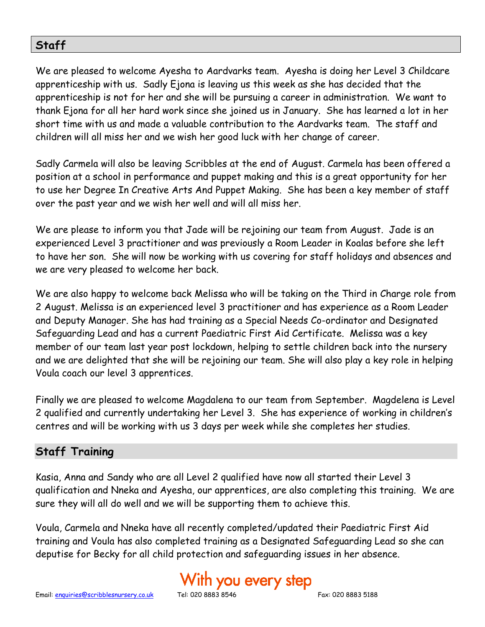# **Staff**

We are pleased to welcome Ayesha to Aardvarks team. Ayesha is doing her Level 3 Childcare apprenticeship with us. Sadly Ejona is leaving us this week as she has decided that the apprenticeship is not for her and she will be pursuing a career in administration. We want to thank Ejona for all her hard work since she joined us in January. She has learned a lot in her short time with us and made a valuable contribution to the Aardvarks team. The staff and children will all miss her and we wish her good luck with her change of career.

Sadly Carmela will also be leaving Scribbles at the end of August. Carmela has been offered a position at a school in performance and puppet making and this is a great opportunity for her to use her Degree In Creative Arts And Puppet Making. She has been a key member of staff over the past year and we wish her well and will all miss her.

We are please to inform you that Jade will be rejoining our team from August. Jade is an experienced Level 3 practitioner and was previously a Room Leader in Koalas before she left to have her son. She will now be working with us covering for staff holidays and absences and we are very pleased to welcome her back.

We are also happy to welcome back Melissa who will be taking on the Third in Charge role from 2 August. Melissa is an experienced level 3 practitioner and has experience as a Room Leader and Deputy Manager. She has had training as a Special Needs Co-ordinator and Designated Safeguarding Lead and has a current Paediatric First Aid Certificate. Melissa was a key member of our team last year post lockdown, helping to settle children back into the nursery and we are delighted that she will be rejoining our team. She will also play a key role in helping Voula coach our level 3 apprentices.

Finally we are pleased to welcome Magdalena to our team from September. Magdelena is Level 2 qualified and currently undertaking her Level 3. She has experience of working in children's centres and will be working with us 3 days per week while she completes her studies.

# **Staff Training**

Kasia, Anna and Sandy who are all Level 2 qualified have now all started their Level 3 qualification and Nneka and Ayesha, our apprentices, are also completing this training. We are sure they will all do well and we will be supporting them to achieve this.

Voula, Carmela and Nneka have all recently completed/updated their Paediatric First Aid training and Voula has also completed training as a Designated Safeguarding Lead so she can deputise for Becky for all child protection and safeguarding issues in her absence.

# ith you every step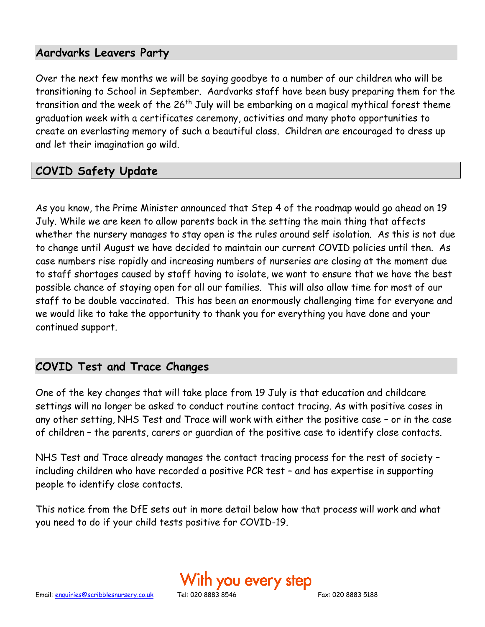# **Aardvarks Leavers Party**

Over the next few months we will be saying goodbye to a number of our children who will be transitioning to School in September. Aardvarks staff have been busy preparing them for the transition and the week of the 26<sup>th</sup> July will be embarking on a magical mythical forest theme graduation week with a certificates ceremony, activities and many photo opportunities to create an everlasting memory of such a beautiful class. Children are encouraged to dress up and let their imagination go wild.

# **COVID Safety Update**

As you know, the Prime Minister announced that Step 4 of the roadmap would go ahead on 19 July. While we are keen to allow parents back in the setting the main thing that affects whether the nursery manages to stay open is the rules around self isolation. As this is not due to change until August we have decided to maintain our current COVID policies until then. As case numbers rise rapidly and increasing numbers of nurseries are closing at the moment due to staff shortages caused by staff having to isolate, we want to ensure that we have the best possible chance of staying open for all our families. This will also allow time for most of our staff to be double vaccinated. This has been an enormously challenging time for everyone and we would like to take the opportunity to thank you for everything you have done and your continued support.

# **COVID Test and Trace Changes**

One of the key changes that will take place from 19 July is that education and childcare settings will no longer be asked to conduct routine contact tracing. As with positive cases in any other setting, NHS Test and Trace will work with either the positive case – or in the case of children – the parents, carers or guardian of the positive case to identify close contacts.

NHS Test and Trace already manages the contact tracing process for the rest of society – including children who have recorded a positive PCR test – and has expertise in supporting people to identify close contacts.

This notice from the DfE sets out in more detail below how that process will work and what you need to do if your child tests positive for COVID-19.

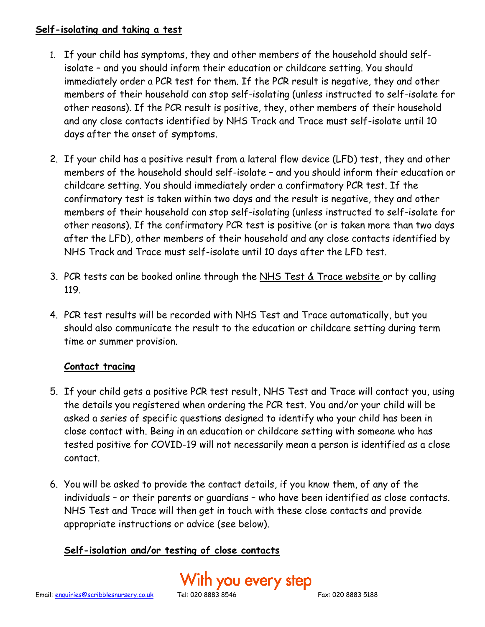#### **Self-isolating and taking a test**

- 1. If your child has symptoms, they and other members of the household should selfisolate – and you should inform their education or childcare setting. You should immediately order a PCR test for them. If the PCR result is negative, they and other members of their household can stop self-isolating (unless instructed to self-isolate for other reasons). If the PCR result is positive, they, other members of their household and any close contacts identified by NHS Track and Trace must self-isolate until 10 days after the onset of symptoms.
- 2. If your child has a positive result from a lateral flow device (LFD) test, they and other members of the household should self-isolate – and you should inform their education or childcare setting. You should immediately order a confirmatory PCR test. If the confirmatory test is taken within two days and the result is negative, they and other members of their household can stop self-isolating (unless instructed to self-isolate for other reasons). If the confirmatory PCR test is positive (or is taken more than two days after the LFD), other members of their household and any close contacts identified by NHS Track and Trace must self-isolate until 10 days after the LFD test.
- 3. PCR tests can be booked online through the [NHS Test & Trace website](https://www.nhs.uk/conditions/coronavirus-covid-19/testing/) or by calling 119.
- 4. PCR test results will be recorded with NHS Test and Trace automatically, but you should also communicate the result to the education or childcare setting during term time or summer provision.

#### **Contact tracing**

- 5. If your child gets a positive PCR test result, NHS Test and Trace will contact you, using the details you registered when ordering the PCR test. You and/or your child will be asked a series of specific questions designed to identify who your child has been in close contact with. Being in an education or childcare setting with someone who has tested positive for COVID-19 will not necessarily mean a person is identified as a close contact.
- 6. You will be asked to provide the contact details, if you know them, of any of the individuals – or their parents or guardians – who have been identified as close contacts. NHS Test and Trace will then get in touch with these close contacts and provide appropriate instructions or advice (see below).

# **Self-isolation and/or testing of close contacts**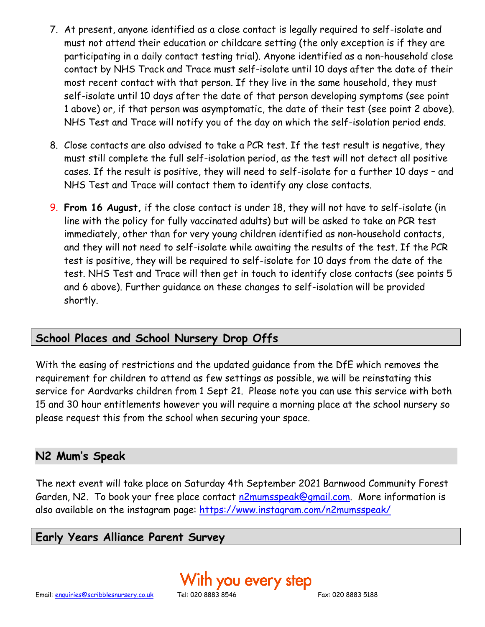- 7. At present, anyone identified as a close contact is legally required to self-isolate and must not attend their education or childcare setting (the only exception is if they are participating in a daily contact testing trial). Anyone identified as a non-household close contact by NHS Track and Trace must self-isolate until 10 days after the date of their most recent contact with that person. If they live in the same household, they must self-isolate until 10 days after the date of that person developing symptoms (see point 1 above) or, if that person was asymptomatic, the date of their test (see point 2 above). NHS Test and Trace will notify you of the day on which the self-isolation period ends.
- 8. Close contacts are also advised to take a PCR test. If the test result is negative, they must still complete the full self-isolation period, as the test will not detect all positive cases. If the result is positive, they will need to self-isolate for a further 10 days – and NHS Test and Trace will contact them to identify any close contacts.
- 9. **From 16 August,** if the close contact is under 18, they will not have to self-isolate (in line with the policy for fully vaccinated adults) but will be asked to take an PCR test immediately, other than for very young children identified as non-household contacts, and they will not need to self-isolate while awaiting the results of the test. If the PCR test is positive, they will be required to self-isolate for 10 days from the date of the test. NHS Test and Trace will then get in touch to identify close contacts (see points 5 and 6 above). Further guidance on these changes to self-isolation will be provided shortly.

# **School Places and School Nursery Drop Offs**

With the easing of restrictions and the updated guidance from the DfE which removes the requirement for children to attend as few settings as possible, we will be reinstating this service for Aardvarks children from 1 Sept 21. Please note you can use this service with both 15 and 30 hour entitlements however you will require a morning place at the school nursery so please request this from the school when securing your space.

#### **N2 Mum's Speak**

The next event will take place on Saturday 4th September 2021 Barnwood Community Forest Garden, N2. To book your free place contact [n2mumsspeak@gmail.com.](mailto:n2mumsspeak@gmail.com) More information is also available on the instagram page:<https://www.instagram.com/n2mumsspeak/>

#### **Early Years Alliance Parent Survey**